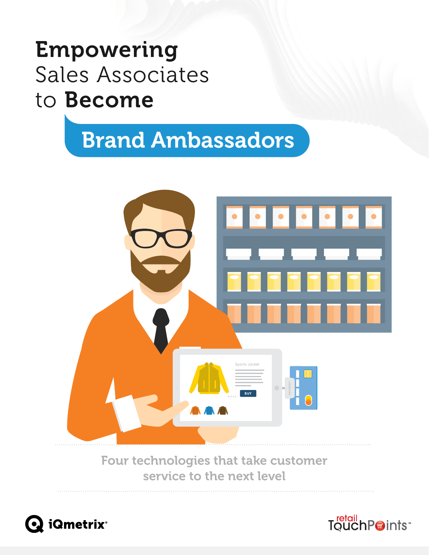# Empowering Sales Associates to Become

# Brand Ambassadors



Four technologies that take customer service to the next level



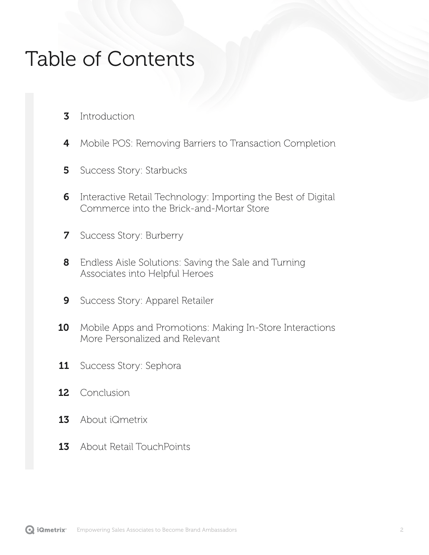## Table of Contents

- **[3](#page-2-0)** [Introduction](#page-2-0)
- 4 [Mobile POS: Removing Barriers to Transaction Completion](#page-3-0)
- [Success Story: Starbucks](#page-4-0) [5](#page-4-0)
- [Interactive Retail Technology: Importing the Best of Digital](#page-5-0)  [Commerce into the Brick-and-Mortar Store](#page-5-0) [6](#page-5-0)
- [Success Story: Burberry](#page-6-0) [7](#page-6-0)
- [Endless Aisle Solutions: Saving the Sale and Turning](#page-7-0)  [Associates into Helpful Heroes](#page-7-0) [8](#page-7-0)
- [Success Story: Apparel Retailer](#page-8-0) [9](#page-8-0)
- [Mobile Apps and Promotions: Making In-Store Interactions](#page-9-0)  [More Personalized and Relevant](#page-9-0) [10](#page-9-0)
- [Success Story: Sephora](#page-10-0) [11](#page-10-0)
- [Conclusion](#page-11-0) [12](#page-11-0)
- 13 [About iQmetrix](#page-12-0)
- 13 [About Retail TouchPoints](#page-12-0)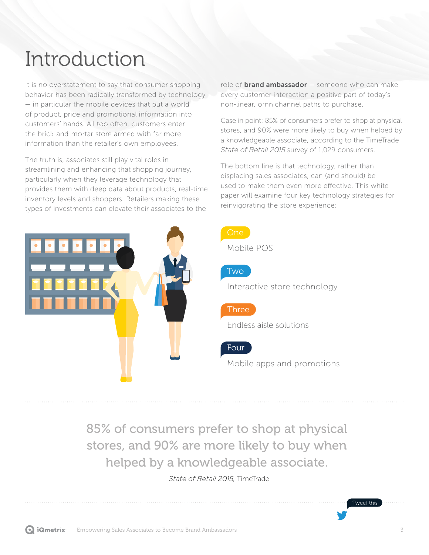## <span id="page-2-0"></span>Introduction

It is no overstatement to say that consumer shopping behavior has been radically transformed by technology — in particular the mobile devices that put a world of product, price and promotional information into customers' hands. All too often, customers enter the brick-and-mortar store armed with far more information than the retailer's own employees.

The truth is, associates still play vital roles in streamlining and enhancing that shopping journey, particularly when they leverage technology that provides them with deep data about products, real-time inventory levels and shoppers. Retailers making these types of investments can elevate their associates to the

role of **brand ambassador**  $-$  someone who can make every customer interaction a positive part of today's non-linear, omnichannel paths to purchase.

Case in point: 85% of consumers prefer to shop at physical stores, and 90% were more likely to buy when helped by a knowledgeable associate, according to the TimeTrade *State of Retail 2015* survey of 1,029 consumers.

The bottom line is that technology, rather than displacing sales associates, can (and should) be used to make them even more effective. This white paper will examine four key technology strategies for reinvigorating the store experience:



85% of consumers prefer to shop at physical stores, and 90% are more likely to buy when helped by a knowledgeable associate.

- *State of Retail 2015,* TimeTrade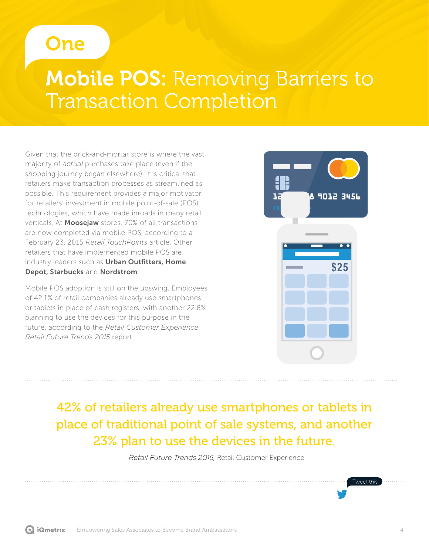#### <span id="page-3-0"></span>One

## **Mobile POS: Removing Barriers to** Transaction Completion

Given that the brick-and-mortar store is where the vast majority of *actual* purchases take place (even if the shopping journey began elsewhere), it is critical that retailers make transaction processes as streamlined as possible. This requirement provides a major motivator for retailers' investment in mobile point-of-sale (POS) technologies, which have made inroads in many retail verticals. At **Moosejaw** stores, 70% of all transactions are now completed via mobile POS, according to a February 23, 2015 *Retail TouchPoints* article. Other retailers that have implemented mobile POS are industry leaders such as Urban Outfitters, Home Depot, Starbucks and Nordstrom.

Mobile POS adoption is still on the upswing. Employees of 42.1% of retail companies already use smartphones or tablets in place of cash registers, with another 22.8% planning to use the devices for this purpose in the future, according to the *Retail Customer Experience Retail Future Trends 2015* report.



42% of retailers already use smartphones or tablets in place of traditional point of sale systems, and another 23% plan to use the devices in the future.

- *Retail Future Trends 2015,* Retail Customer Experience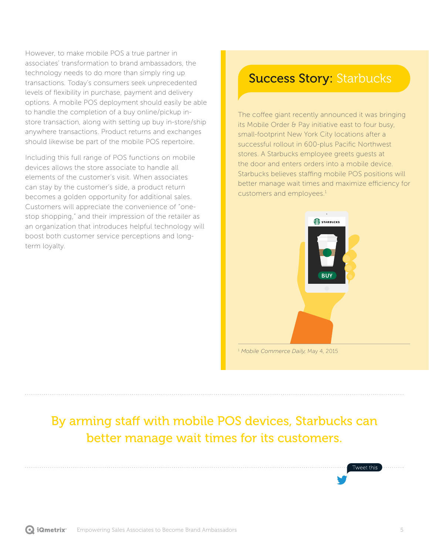<span id="page-4-0"></span>However, to make mobile POS a true partner in associates' transformation to brand ambassadors, the technology needs to do more than simply ring up transactions. Today's consumers seek unprecedented levels of flexibility in purchase, payment and delivery options. A mobile POS deployment should easily be able to handle the completion of a buy online/pickup instore transaction, along with setting up buy in-store/ship anywhere transactions. Product returns and exchanges should likewise be part of the mobile POS repertoire.

Including this full range of POS functions on mobile devices allows the store associate to handle all elements of the customer's visit. When associates can stay by the customer's side, a product return becomes a golden opportunity for additional sales. Customers will appreciate the convenience of "onestop shopping," and their impression of the retailer as an organization that introduces helpful technology will boost both customer service perceptions and longterm loyalty.

#### **Success Story: Starbucks**

The coffee giant recently announced it was bringing its Mobile Order & Pay initiative east to four busy, small-footprint New York City locations after a successful rollout in 600-plus Pacific Northwest stores. A Starbucks employee greets guests at the door and enters orders into a mobile device. Starbucks believes staffing mobile POS positions will better manage wait times and maximize efficiency for customers and employees.<sup>1</sup>



<sup>1</sup> *Mobile Commerce Daily,* May 4, 2015

#### By arming staff with mobile POS devices, Starbucks can better manage wait times for its customers.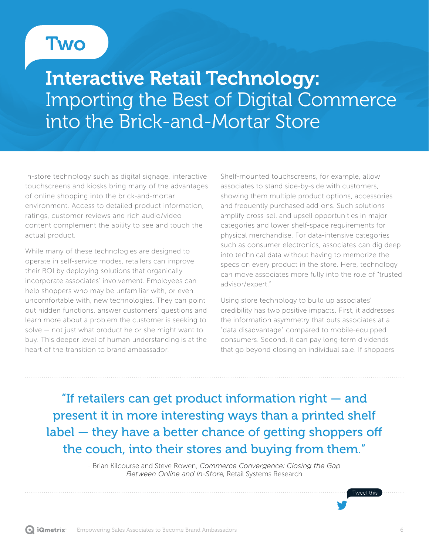### <span id="page-5-0"></span>**Two**

## Interactive Retail Technology: Importing the Best of Digital Commerce into the Brick-and-Mortar Store

In-store technology such as digital signage, interactive touchscreens and kiosks bring many of the advantages of online shopping into the brick-and-mortar environment. Access to detailed product information, ratings, customer reviews and rich audio/video content complement the ability to see and touch the actual product.

While many of these technologies are designed to operate in self-service modes, retailers can improve their ROI by deploying solutions that organically incorporate associates' involvement. Employees can help shoppers who may be unfamiliar with, or even uncomfortable with, new technologies. They can point out hidden functions, answer customers' questions and learn more about a problem the customer is seeking to solve — not just what product he or she might want to buy. This deeper level of human understanding is at the heart of the transition to brand ambassador.

Shelf-mounted touchscreens, for example, allow associates to stand side-by-side with customers, showing them multiple product options, accessories and frequently purchased add-ons. Such solutions amplify cross-sell and upsell opportunities in major categories and lower shelf-space requirements for physical merchandise. For data-intensive categories such as consumer electronics, associates can dig deep into technical data without having to memorize the specs on every product in the store. Here, technology can move associates more fully into the role of "trusted advisor/expert."

Using store technology to build up associates' credibility has two positive impacts. First, it addresses the information asymmetry that puts associates at a "data disadvantage" compared to mobile-equipped consumers. Second, it can pay long-term dividends that go beyond closing an individual sale. If shoppers

"If retailers can get product information right — and present it in more interesting ways than a printed shelf label — they have a better chance of getting shoppers off the couch, into their stores and buying from them."

> - Brian Kilcourse and Steve Rowen, *Commerce Convergence: Closing the Gap Between Online and In-Store,* Retail Systems Research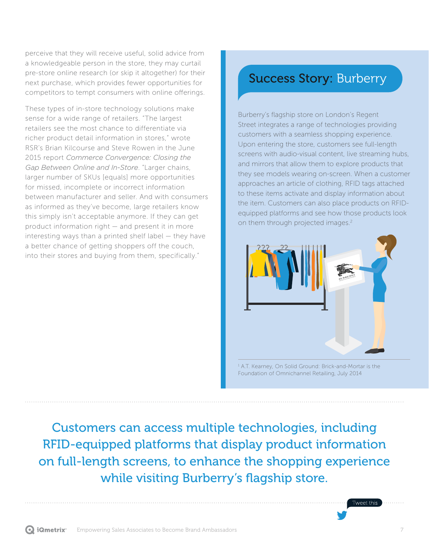<span id="page-6-0"></span>perceive that they will receive useful, solid advice from a knowledgeable person in the store, they may curtail pre-store online research (or skip it altogether) for their next purchase, which provides fewer opportunities for competitors to tempt consumers with online offerings.

These types of in-store technology solutions make sense for a wide range of retailers. "The largest retailers see the most chance to differentiate via richer product detail information in stores," wrote RSR's Brian Kilcourse and Steve Rowen in the June 2015 report *Commerce Convergence: Closing the Gap Between Online and In-Store*. "Larger chains, larger number of SKUs [equals] more opportunities for missed, incomplete or incorrect information between manufacturer and seller. And with consumers as informed as they've become, large retailers know this simply isn't acceptable anymore. If they can get product information right — and present it in more interesting ways than a printed shelf label — they have a better chance of getting shoppers off the couch, into their stores and buying from them, specifically."

#### Success Story: Burberry

Burberry's flagship store on London's Regent Street integrates a range of technologies providing customers with a seamless shopping experience. Upon entering the store, customers see full-length screens with audio-visual content, live streaming hubs, and mirrors that allow them to explore products that they see models wearing on-screen. When a customer approaches an article of clothing, RFID tags attached to these items activate and display information about the item. Customers can also place products on RFIDequipped platforms and see how those products look on them through projected images.<sup>2</sup>



1 A.T. Kearney, On Solid Ground: Brick-and-Mortar is the Foundation of Omnichannel Retailing, July 2014

Customers can access multiple technologies, including RFID-equipped platforms that display product information on full-length screens, to enhance the shopping experience while visiting Burberry's flagship store.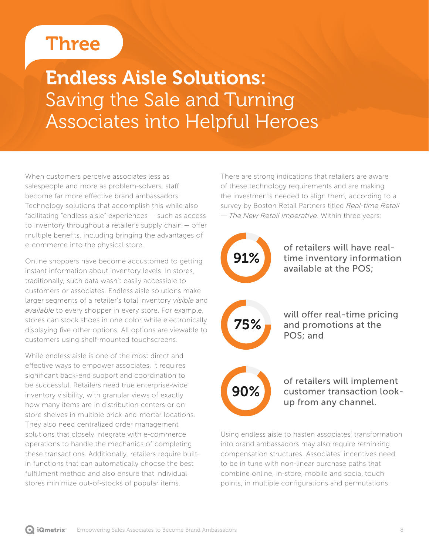## <span id="page-7-0"></span>**Three**

## Endless Aisle Solutions: Saving the Sale and Turning Associates into Helpful Heroes

When customers perceive associates less as salespeople and more as problem-solvers, staff become far more effective brand ambassadors. Technology solutions that accomplish this while also facilitating "endless aisle" experiences — such as access to inventory throughout a retailer's supply chain — offer multiple benefits, including bringing the advantages of e-commerce into the physical store.

Online shoppers have become accustomed to getting instant information about inventory levels. In stores, traditionally, such data wasn't easily accessible to customers or associates. Endless aisle solutions make larger segments of a retailer's total inventory *visible* and *available* to every shopper in every store. For example, stores can stock shoes in one color while electronically displaying five other options. All options are viewable to customers using shelf-mounted touchscreens.

While endless aisle is one of the most direct and effective ways to empower associates, it requires significant back-end support and coordination to be successful. Retailers need true enterprise-wide inventory visibility, with granular views of exactly how many items are in distribution centers or on store shelves in multiple brick-and-mortar locations. They also need centralized order management solutions that closely integrate with e-commerce operations to handle the mechanics of completing these transactions. Additionally, retailers require builtin functions that can automatically choose the best fulfillment method and also ensure that individual stores minimize out-of-stocks of popular items.

There are strong indications that retailers are aware of these technology requirements and are making the investments needed to align them, according to a survey by Boston Retail Partners titled *Real-time Retail — The New Retail Imperative*. Within three years:



of retailers will have realtime inventory information available at the POS;



will offer real-time pricing and promotions at the POS; and

# 90%

of retailers will implement customer transaction lookup from any channel.

Using endless aisle to hasten associates' transformation into brand ambassadors may also require rethinking compensation structures. Associates' incentives need to be in tune with non-linear purchase paths that combine online, in-store, mobile and social touch points, in multiple configurations and permutations.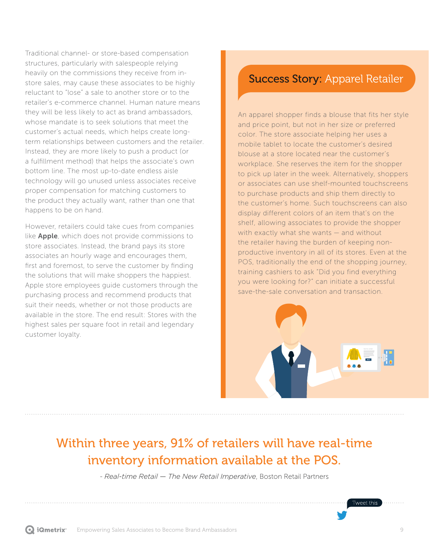<span id="page-8-0"></span>Traditional channel- or store-based compensation structures, particularly with salespeople relying heavily on the commissions they receive from instore sales, may cause these associates to be highly reluctant to "lose" a sale to another store or to the retailer's e-commerce channel. Human nature means they will be less likely to act as brand ambassadors, whose mandate is to seek solutions that meet the customer's actual needs, which helps create longterm relationships between customers and the retailer. Instead, they are more likely to push a product (or a fulfillment method) that helps the associate's own bottom line. The most up-to-date endless aisle technology will go unused unless associates receive proper compensation for matching customers to the product they actually want, rather than one that happens to be on hand.

However, retailers could take cues from companies like **Apple**, which does not provide commissions to store associates. Instead, the brand pays its store associates an hourly wage and encourages them, first and foremost, to serve the customer by finding the solutions that will make shoppers the happiest. Apple store employees guide customers through the purchasing process and recommend products that suit their needs, whether or not those products are available in the store. The end result: Stores with the highest sales per square foot in retail and legendary customer loyalty.

#### Success Story: Apparel Retailer

An apparel shopper finds a blouse that fits her style and price point, but not in her size or preferred color. The store associate helping her uses a mobile tablet to locate the customer's desired blouse at a store located near the customer's workplace. She reserves the item for the shopper to pick up later in the week. Alternatively, shoppers or associates can use shelf-mounted touchscreens to purchase products and ship them directly to the customer's home. Such touchscreens can also display different colors of an item that's on the shelf, allowing associates to provide the shopper with exactly what she wants — and without the retailer having the burden of keeping nonproductive inventory in all of its stores. Even at the POS, traditionally the end of the shopping journey, training cashiers to ask "Did you find everything you were looking for?" can initiate a successful save-the-sale conversation and transaction.



#### Within three years, 91% of retailers will have real-time inventory information available at the POS.

- *Real-time Retail — The New Retail Imperative*, Boston Retail Partners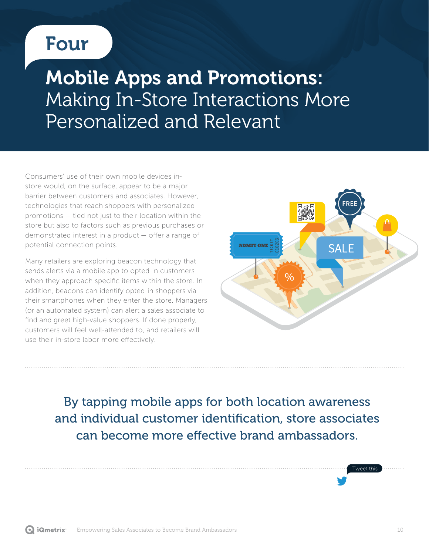## <span id="page-9-0"></span>Four

## Mobile Apps and Promotions: Making In-Store Interactions More Personalized and Relevant

Consumers' use of their own mobile devices instore would, on the surface, appear to be a major barrier between customers and associates. However, technologies that reach shoppers with personalized promotions — tied not just to their location within the store but also to factors such as previous purchases or demonstrated interest in a product — offer a range of potential connection points.

Many retailers are exploring beacon technology that sends alerts via a mobile app to opted-in customers when they approach specific items within the store. In addition, beacons can identify opted-in shoppers via their smartphones when they enter the store. Managers (or an automated system) can alert a sales associate to find and greet high-value shoppers. If done properly, customers will feel well-attended to, and retailers will use their in-store labor more effectively.



By tapping mobile apps for both location awareness and individual customer identification, store associates can become more effective brand ambassadors.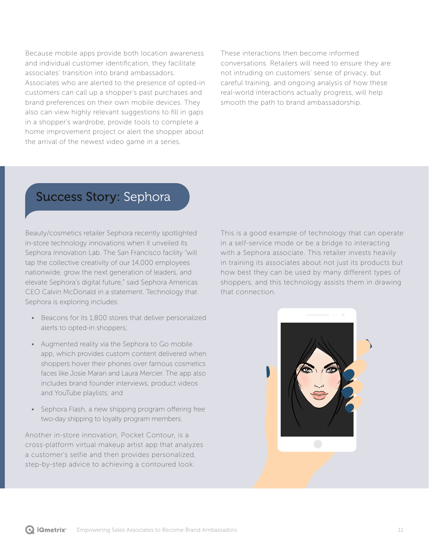<span id="page-10-0"></span>Because mobile apps provide both location awareness and individual customer identification, they facilitate associates' transition into brand ambassadors. Associates who are alerted to the presence of opted-in customers can call up a shopper's past purchases and brand preferences on their own mobile devices. They also can view highly relevant suggestions to fill in gaps in a shopper's wardrobe, provide tools to complete a home improvement project or alert the shopper about the arrival of the newest video game in a series.

These interactions then become informed conversations. Retailers will need to ensure they are not intruding on customers' sense of privacy, but careful training, and ongoing analysis of how these real-world interactions actually progress, will help smooth the path to brand ambassadorship.

#### Success Story: Sephora

Beauty/cosmetics retailer Sephora recently spotlighted in-store technology innovations when it unveiled its Sephora Innovation Lab. The San Francisco facility "will tap the collective creativity of our 14,000 employees nationwide, grow the next generation of leaders, and elevate Sephora's digital future," said Sephora Americas CEO Calvin McDonald in a statement. Technology that Sephora is exploring includes:

- Beacons for its 1,800 stores that deliver personalized alerts to opted-in shoppers;
- Augmented reality via the Sephora to Go mobile app, which provides custom content delivered when shoppers hover their phones over famous cosmetics faces like Josie Maran and Laura Mercier. The app also includes brand founder interviews, product videos and YouTube playlists; and
- Sephora Flash, a new shipping program offering free two-day shipping to loyalty program members.

Another in-store innovation, Pocket Contour, is a cross-platform virtual makeup artist app that analyzes a customer's selfie and then provides personalized, step-by-step advice to achieving a contoured look.

This is a good example of technology that can operate in a self-service mode or be a bridge to interacting with a Sephora associate. This retailer invests heavily in training its associates about not just its products but how best they can be used by many different types of shoppers, and this technology assists them in drawing that connection.

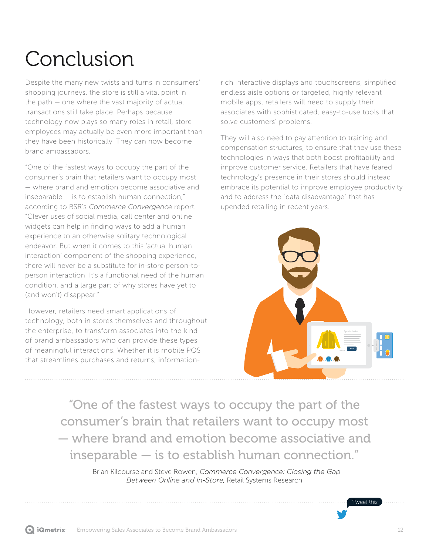# <span id="page-11-0"></span>Conclusion

Despite the many new twists and turns in consumers' shopping journeys, the store is still a vital point in the path — one where the vast majority of actual transactions still take place. Perhaps because technology now plays so many roles in retail, store employees may actually be even more important than they have been historically. They can now become brand ambassadors.

"One of the fastest ways to occupy the part of the consumer's brain that retailers want to occupy most — where brand and emotion become associative and inseparable — is to establish human connection," according to RSR's *Commerce Convergence* report. "Clever uses of social media, call center and online widgets can help in finding ways to add a human experience to an otherwise solitary technological endeavor. But when it comes to this 'actual human interaction' component of the shopping experience, there will never be a substitute for in-store person-toperson interaction. It's a functional need of the human condition, and a large part of why stores have yet to (and won't) disappear."

However, retailers need smart applications of technology, both in stores themselves and throughout the enterprise, to transform associates into the kind of brand ambassadors who can provide these types of meaningful interactions. Whether it is mobile POS that streamlines purchases and returns, informationrich interactive displays and touchscreens, simplified endless aisle options or targeted, highly relevant mobile apps, retailers will need to supply their associates with sophisticated, easy-to-use tools that solve customers' problems.

They will also need to pay attention to training and compensation structures, to ensure that they use these technologies in ways that both boost profitability and improve customer service. Retailers that have feared technology's presence in their stores should instead embrace its potential to improve employee productivity and to address the "data disadvantage" that has upended retailing in recent years.



"One of the fastest ways to occupy the part of the consumer's brain that retailers want to occupy most — where brand and emotion become associative and inseparable — is to establish human connection."

- Brian Kilcourse and Steve Rowen, *Commerce Convergence: Closing the Gap Between Online and In-Store,* Retail Systems Research